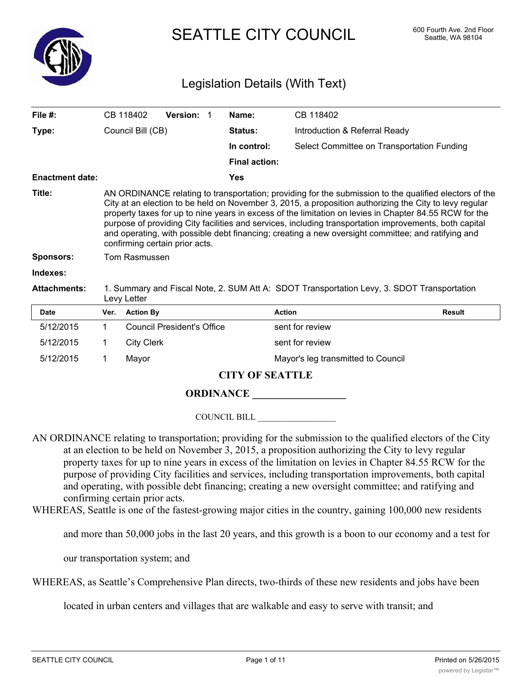

SEATTLE CITY COUNCIL 600 Fourth Ave. 2nd Floor

# Legislation Details (With Text)

| File $#$ :             |                                                                                                                                                                                                                                                                                                                                                                                                                                                                                                                                                                              | CB 118402         | Version: 1                        |  | Name:                | CB 118402                                  |               |
|------------------------|------------------------------------------------------------------------------------------------------------------------------------------------------------------------------------------------------------------------------------------------------------------------------------------------------------------------------------------------------------------------------------------------------------------------------------------------------------------------------------------------------------------------------------------------------------------------------|-------------------|-----------------------------------|--|----------------------|--------------------------------------------|---------------|
| Type:                  | Council Bill (CB)                                                                                                                                                                                                                                                                                                                                                                                                                                                                                                                                                            |                   |                                   |  | <b>Status:</b>       | Introduction & Referral Ready              |               |
|                        |                                                                                                                                                                                                                                                                                                                                                                                                                                                                                                                                                                              |                   |                                   |  | In control:          | Select Committee on Transportation Funding |               |
|                        |                                                                                                                                                                                                                                                                                                                                                                                                                                                                                                                                                                              |                   |                                   |  | <b>Final action:</b> |                                            |               |
| <b>Enactment date:</b> |                                                                                                                                                                                                                                                                                                                                                                                                                                                                                                                                                                              |                   |                                   |  | <b>Yes</b>           |                                            |               |
| Title:                 | AN ORDINANCE relating to transportation; providing for the submission to the qualified electors of the<br>City at an election to be held on November 3, 2015, a proposition authorizing the City to levy regular<br>property taxes for up to nine years in excess of the limitation on levies in Chapter 84.55 RCW for the<br>purpose of providing City facilities and services, including transportation improvements, both capital<br>and operating, with possible debt financing; creating a new oversight committee; and ratifying and<br>confirming certain prior acts. |                   |                                   |  |                      |                                            |               |
| <b>Sponsors:</b>       |                                                                                                                                                                                                                                                                                                                                                                                                                                                                                                                                                                              | Tom Rasmussen     |                                   |  |                      |                                            |               |
| Indexes:               |                                                                                                                                                                                                                                                                                                                                                                                                                                                                                                                                                                              |                   |                                   |  |                      |                                            |               |
| <b>Attachments:</b>    | 1. Summary and Fiscal Note, 2. SUM Att A: SDOT Transportation Levy, 3. SDOT Transportation<br>Levy Letter                                                                                                                                                                                                                                                                                                                                                                                                                                                                    |                   |                                   |  |                      |                                            |               |
| <b>Date</b>            | Ver.                                                                                                                                                                                                                                                                                                                                                                                                                                                                                                                                                                         | <b>Action By</b>  |                                   |  |                      | <b>Action</b>                              | <b>Result</b> |
| 5/12/2015              | 1                                                                                                                                                                                                                                                                                                                                                                                                                                                                                                                                                                            |                   | <b>Council President's Office</b> |  |                      | sent for review                            |               |
| 5/12/2015              |                                                                                                                                                                                                                                                                                                                                                                                                                                                                                                                                                                              | <b>City Clerk</b> |                                   |  |                      | sent for review                            |               |

5/12/2015 1 Mayor Mayor Mayor's leg transmitted to Council

# **CITY OF SEATTLE**

# **ORDINANCE \_\_\_\_\_\_\_\_\_\_\_\_\_\_\_\_\_\_**

COUNCIL BILL \_\_\_\_\_\_\_\_\_\_\_\_\_\_\_\_\_\_

- AN ORDINANCE relating to transportation; providing for the submission to the qualified electors of the City at an election to be held on November 3, 2015, a proposition authorizing the City to levy regular property taxes for up to nine years in excess of the limitation on levies in Chapter 84.55 RCW for the purpose of providing City facilities and services, including transportation improvements, both capital and operating, with possible debt financing; creating a new oversight committee; and ratifying and confirming certain prior acts.
- WHEREAS, Seattle is one of the fastest-growing major cities in the country, gaining 100,000 new residents

and more than 50,000 jobs in the last 20 years, and this growth is a boon to our economy and a test for

our transportation system; and

WHEREAS, as Seattle's Comprehensive Plan directs, two-thirds of these new residents and jobs have been

located in urban centers and villages that are walkable and easy to serve with transit; and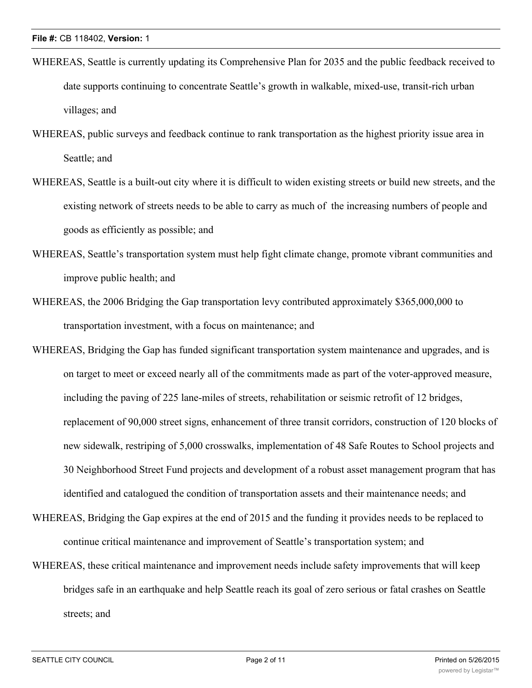- WHEREAS, Seattle is currently updating its Comprehensive Plan for 2035 and the public feedback received to date supports continuing to concentrate Seattle's growth in walkable, mixed-use, transit-rich urban villages; and
- WHEREAS, public surveys and feedback continue to rank transportation as the highest priority issue area in Seattle; and
- WHEREAS, Seattle is a built-out city where it is difficult to widen existing streets or build new streets, and the existing network of streets needs to be able to carry as much of the increasing numbers of people and goods as efficiently as possible; and
- WHEREAS, Seattle's transportation system must help fight climate change, promote vibrant communities and improve public health; and
- WHEREAS, the 2006 Bridging the Gap transportation levy contributed approximately \$365,000,000 to transportation investment, with a focus on maintenance; and
- WHEREAS, Bridging the Gap has funded significant transportation system maintenance and upgrades, and is on target to meet or exceed nearly all of the commitments made as part of the voter-approved measure, including the paving of 225 lane-miles of streets, rehabilitation or seismic retrofit of 12 bridges, replacement of 90,000 street signs, enhancement of three transit corridors, construction of 120 blocks of new sidewalk, restriping of 5,000 crosswalks, implementation of 48 Safe Routes to School projects and 30 Neighborhood Street Fund projects and development of a robust asset management program that has identified and catalogued the condition of transportation assets and their maintenance needs; and
- WHEREAS, Bridging the Gap expires at the end of 2015 and the funding it provides needs to be replaced to continue critical maintenance and improvement of Seattle's transportation system; and
- WHEREAS, these critical maintenance and improvement needs include safety improvements that will keep bridges safe in an earthquake and help Seattle reach its goal of zero serious or fatal crashes on Seattle streets; and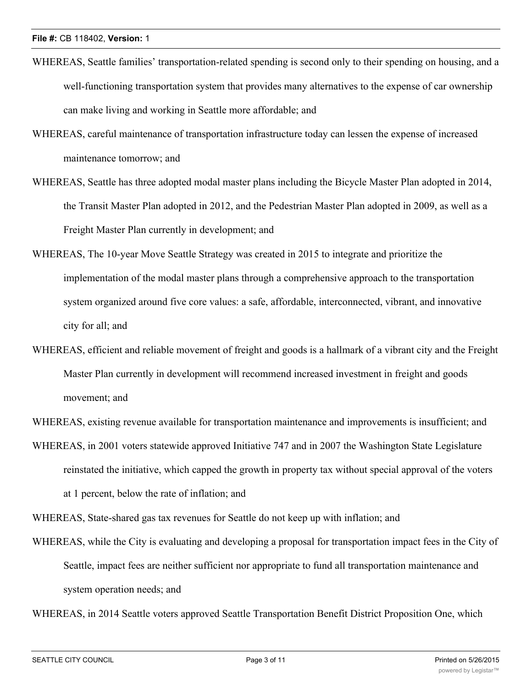- WHEREAS, Seattle families' transportation-related spending is second only to their spending on housing, and a well-functioning transportation system that provides many alternatives to the expense of car ownership can make living and working in Seattle more affordable; and
- WHEREAS, careful maintenance of transportation infrastructure today can lessen the expense of increased maintenance tomorrow; and
- WHEREAS, Seattle has three adopted modal master plans including the Bicycle Master Plan adopted in 2014, the Transit Master Plan adopted in 2012, and the Pedestrian Master Plan adopted in 2009, as well as a Freight Master Plan currently in development; and
- WHEREAS, The 10-year Move Seattle Strategy was created in 2015 to integrate and prioritize the implementation of the modal master plans through a comprehensive approach to the transportation system organized around five core values: a safe, affordable, interconnected, vibrant, and innovative city for all; and
- WHEREAS, efficient and reliable movement of freight and goods is a hallmark of a vibrant city and the Freight Master Plan currently in development will recommend increased investment in freight and goods movement; and

WHEREAS, existing revenue available for transportation maintenance and improvements is insufficient; and

WHEREAS, in 2001 voters statewide approved Initiative 747 and in 2007 the Washington State Legislature reinstated the initiative, which capped the growth in property tax without special approval of the voters at 1 percent, below the rate of inflation; and

WHEREAS, State-shared gas tax revenues for Seattle do not keep up with inflation; and

WHEREAS, while the City is evaluating and developing a proposal for transportation impact fees in the City of Seattle, impact fees are neither sufficient nor appropriate to fund all transportation maintenance and system operation needs; and

WHEREAS, in 2014 Seattle voters approved Seattle Transportation Benefit District Proposition One, which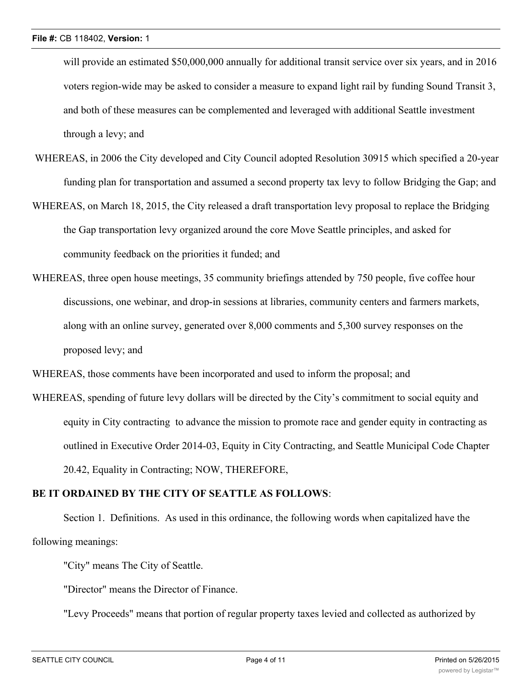will provide an estimated \$50,000,000 annually for additional transit service over six years, and in 2016 voters region-wide may be asked to consider a measure to expand light rail by funding Sound Transit 3, and both of these measures can be complemented and leveraged with additional Seattle investment through a levy; and

- WHEREAS, in 2006 the City developed and City Council adopted Resolution 30915 which specified a 20-year funding plan for transportation and assumed a second property tax levy to follow Bridging the Gap; and
- WHEREAS, on March 18, 2015, the City released a draft transportation levy proposal to replace the Bridging the Gap transportation levy organized around the core Move Seattle principles, and asked for community feedback on the priorities it funded; and
- WHEREAS, three open house meetings, 35 community briefings attended by 750 people, five coffee hour discussions, one webinar, and drop-in sessions at libraries, community centers and farmers markets, along with an online survey, generated over 8,000 comments and 5,300 survey responses on the proposed levy; and

WHEREAS, those comments have been incorporated and used to inform the proposal; and

WHEREAS, spending of future levy dollars will be directed by the City's commitment to social equity and equity in City contracting to advance the mission to promote race and gender equity in contracting as outlined in Executive Order 2014-03, Equity in City Contracting, and Seattle Municipal Code Chapter 20.42, Equality in Contracting; NOW, THEREFORE,

#### **BE IT ORDAINED BY THE CITY OF SEATTLE AS FOLLOWS**:

Section 1. Definitions. As used in this ordinance, the following words when capitalized have the following meanings:

"City" means The City of Seattle.

"Director" means the Director of Finance.

"Levy Proceeds" means that portion of regular property taxes levied and collected as authorized by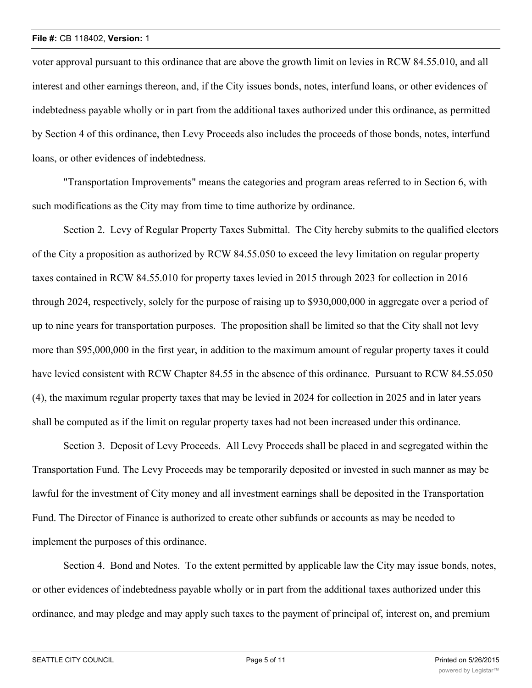#### **File #:** CB 118402, **Version:** 1

voter approval pursuant to this ordinance that are above the growth limit on levies in RCW 84.55.010, and all interest and other earnings thereon, and, if the City issues bonds, notes, interfund loans, or other evidences of indebtedness payable wholly or in part from the additional taxes authorized under this ordinance, as permitted by Section 4 of this ordinance, then Levy Proceeds also includes the proceeds of those bonds, notes, interfund loans, or other evidences of indebtedness.

"Transportation Improvements" means the categories and program areas referred to in Section 6, with such modifications as the City may from time to time authorize by ordinance.

Section 2. Levy of Regular Property Taxes Submittal. The City hereby submits to the qualified electors of the City a proposition as authorized by RCW 84.55.050 to exceed the levy limitation on regular property taxes contained in RCW 84.55.010 for property taxes levied in 2015 through 2023 for collection in 2016 through 2024, respectively, solely for the purpose of raising up to \$930,000,000 in aggregate over a period of up to nine years for transportation purposes. The proposition shall be limited so that the City shall not levy more than \$95,000,000 in the first year, in addition to the maximum amount of regular property taxes it could have levied consistent with RCW Chapter 84.55 in the absence of this ordinance. Pursuant to RCW 84.55.050 (4), the maximum regular property taxes that may be levied in 2024 for collection in 2025 and in later years shall be computed as if the limit on regular property taxes had not been increased under this ordinance.

Section 3. Deposit of Levy Proceeds. All Levy Proceeds shall be placed in and segregated within the Transportation Fund. The Levy Proceeds may be temporarily deposited or invested in such manner as may be lawful for the investment of City money and all investment earnings shall be deposited in the Transportation Fund. The Director of Finance is authorized to create other subfunds or accounts as may be needed to implement the purposes of this ordinance.

Section 4. Bond and Notes. To the extent permitted by applicable law the City may issue bonds, notes, or other evidences of indebtedness payable wholly or in part from the additional taxes authorized under this ordinance, and may pledge and may apply such taxes to the payment of principal of, interest on, and premium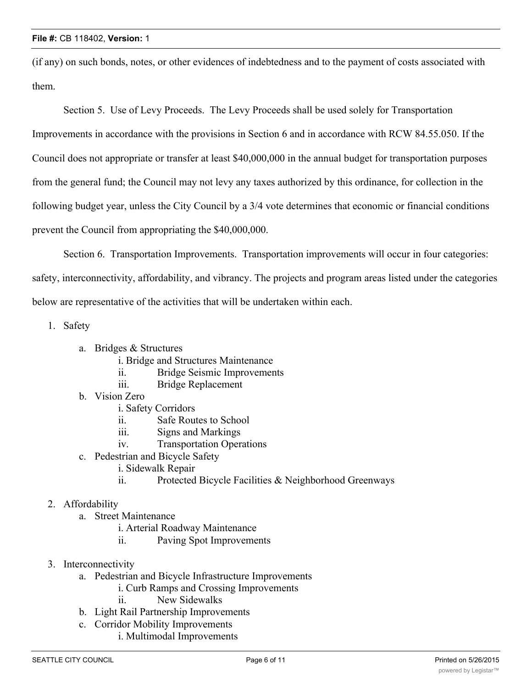(if any) on such bonds, notes, or other evidences of indebtedness and to the payment of costs associated with them.

Section 5. Use of Levy Proceeds. The Levy Proceeds shall be used solely for Transportation

Improvements in accordance with the provisions in Section 6 and in accordance with RCW 84.55.050. If the Council does not appropriate or transfer at least \$40,000,000 in the annual budget for transportation purposes from the general fund; the Council may not levy any taxes authorized by this ordinance, for collection in the following budget year, unless the City Council by a 3/4 vote determines that economic or financial conditions prevent the Council from appropriating the \$40,000,000.

Section 6. Transportation Improvements. Transportation improvements will occur in four categories: safety, interconnectivity, affordability, and vibrancy. The projects and program areas listed under the categories below are representative of the activities that will be undertaken within each.

1. Safety

- a. Bridges & Structures
	- i. Bridge and Structures Maintenance
	- ii. Bridge Seismic Improvements
	- iii. Bridge Replacement
- b. Vision Zero
	- i. Safety Corridors
	- ii. Safe Routes to School
	- iii. Signs and Markings
	- iv. Transportation Operations
- c. Pedestrian and Bicycle Safety
	- i. Sidewalk Repair
	- ii. Protected Bicycle Facilities & Neighborhood Greenways

# 2. Affordability

- a. Street Maintenance
	- i. Arterial Roadway Maintenance
		- ii. Paving Spot Improvements
- 3. Interconnectivity
	- a. Pedestrian and Bicycle Infrastructure Improvements
		- i. Curb Ramps and Crossing Improvements
		- ii. New Sidewalks
	- b. Light Rail Partnership Improvements
	- c. Corridor Mobility Improvements
		- i. Multimodal Improvements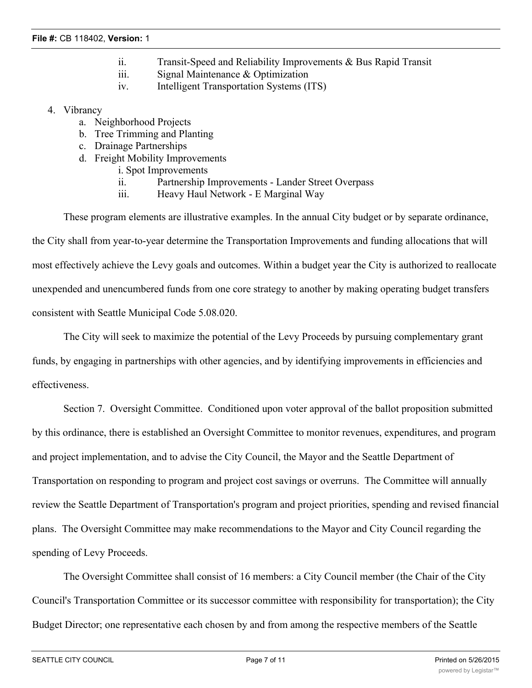- ii. Transit-Speed and Reliability Improvements & Bus Rapid Transit
- iii. Signal Maintenance & Optimization
- iv. Intelligent Transportation Systems (ITS)

#### 4. Vibrancy

- a. Neighborhood Projects
- b. Tree Trimming and Planting
- c. Drainage Partnerships
- d. Freight Mobility Improvements
	- i. Spot Improvements
	- ii. Partnership Improvements Lander Street Overpass
	- iii. Heavy Haul Network E Marginal Way

These program elements are illustrative examples. In the annual City budget or by separate ordinance, the City shall from year-to-year determine the Transportation Improvements and funding allocations that will most effectively achieve the Levy goals and outcomes. Within a budget year the City is authorized to reallocate unexpended and unencumbered funds from one core strategy to another by making operating budget transfers consistent with Seattle Municipal Code 5.08.020.

The City will seek to maximize the potential of the Levy Proceeds by pursuing complementary grant funds, by engaging in partnerships with other agencies, and by identifying improvements in efficiencies and effectiveness.

Section 7. Oversight Committee. Conditioned upon voter approval of the ballot proposition submitted by this ordinance, there is established an Oversight Committee to monitor revenues, expenditures, and program and project implementation, and to advise the City Council, the Mayor and the Seattle Department of Transportation on responding to program and project cost savings or overruns. The Committee will annually review the Seattle Department of Transportation's program and project priorities, spending and revised financial plans. The Oversight Committee may make recommendations to the Mayor and City Council regarding the spending of Levy Proceeds.

The Oversight Committee shall consist of 16 members: a City Council member (the Chair of the City Council's Transportation Committee or its successor committee with responsibility for transportation); the City Budget Director; one representative each chosen by and from among the respective members of the Seattle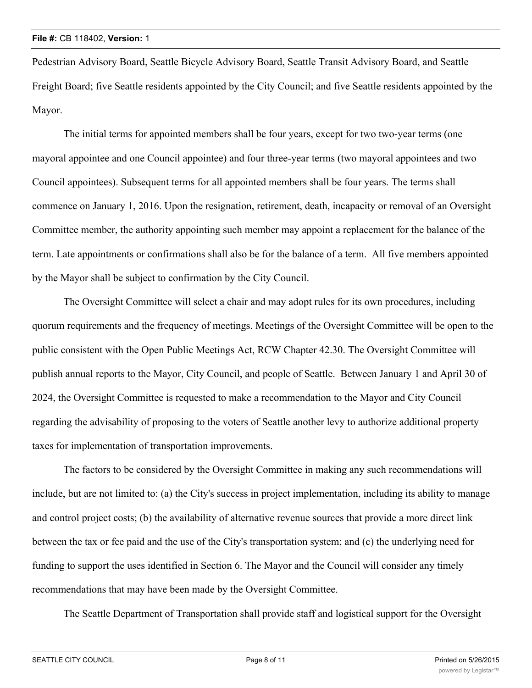Pedestrian Advisory Board, Seattle Bicycle Advisory Board, Seattle Transit Advisory Board, and Seattle Freight Board; five Seattle residents appointed by the City Council; and five Seattle residents appointed by the Mayor.

The initial terms for appointed members shall be four years, except for two two-year terms (one mayoral appointee and one Council appointee) and four three-year terms (two mayoral appointees and two Council appointees). Subsequent terms for all appointed members shall be four years. The terms shall commence on January 1, 2016. Upon the resignation, retirement, death, incapacity or removal of an Oversight Committee member, the authority appointing such member may appoint a replacement for the balance of the term. Late appointments or confirmations shall also be for the balance of a term. All five members appointed by the Mayor shall be subject to confirmation by the City Council.

The Oversight Committee will select a chair and may adopt rules for its own procedures, including quorum requirements and the frequency of meetings. Meetings of the Oversight Committee will be open to the public consistent with the Open Public Meetings Act, RCW Chapter 42.30. The Oversight Committee will publish annual reports to the Mayor, City Council, and people of Seattle. Between January 1 and April 30 of 2024, the Oversight Committee is requested to make a recommendation to the Mayor and City Council regarding the advisability of proposing to the voters of Seattle another levy to authorize additional property taxes for implementation of transportation improvements.

The factors to be considered by the Oversight Committee in making any such recommendations will include, but are not limited to: (a) the City's success in project implementation, including its ability to manage and control project costs; (b) the availability of alternative revenue sources that provide a more direct link between the tax or fee paid and the use of the City's transportation system; and (c) the underlying need for funding to support the uses identified in Section 6. The Mayor and the Council will consider any timely recommendations that may have been made by the Oversight Committee.

The Seattle Department of Transportation shall provide staff and logistical support for the Oversight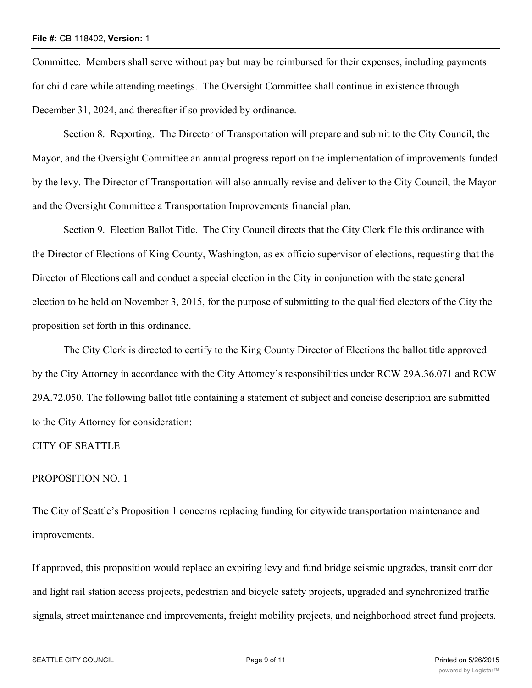Committee. Members shall serve without pay but may be reimbursed for their expenses, including payments for child care while attending meetings. The Oversight Committee shall continue in existence through December 31, 2024, and thereafter if so provided by ordinance.

Section 8. Reporting. The Director of Transportation will prepare and submit to the City Council, the Mayor, and the Oversight Committee an annual progress report on the implementation of improvements funded by the levy. The Director of Transportation will also annually revise and deliver to the City Council, the Mayor and the Oversight Committee a Transportation Improvements financial plan.

Section 9. Election Ballot Title. The City Council directs that the City Clerk file this ordinance with the Director of Elections of King County, Washington, as ex officio supervisor of elections, requesting that the Director of Elections call and conduct a special election in the City in conjunction with the state general election to be held on November 3, 2015, for the purpose of submitting to the qualified electors of the City the proposition set forth in this ordinance.

The City Clerk is directed to certify to the King County Director of Elections the ballot title approved by the City Attorney in accordance with the City Attorney's responsibilities under RCW 29A.36.071 and RCW 29A.72.050. The following ballot title containing a statement of subject and concise description are submitted to the City Attorney for consideration:

# CITY OF SEATTLE

# PROPOSITION NO. 1

The City of Seattle's Proposition 1 concerns replacing funding for citywide transportation maintenance and improvements.

If approved, this proposition would replace an expiring levy and fund bridge seismic upgrades, transit corridor and light rail station access projects, pedestrian and bicycle safety projects, upgraded and synchronized traffic signals, street maintenance and improvements, freight mobility projects, and neighborhood street fund projects.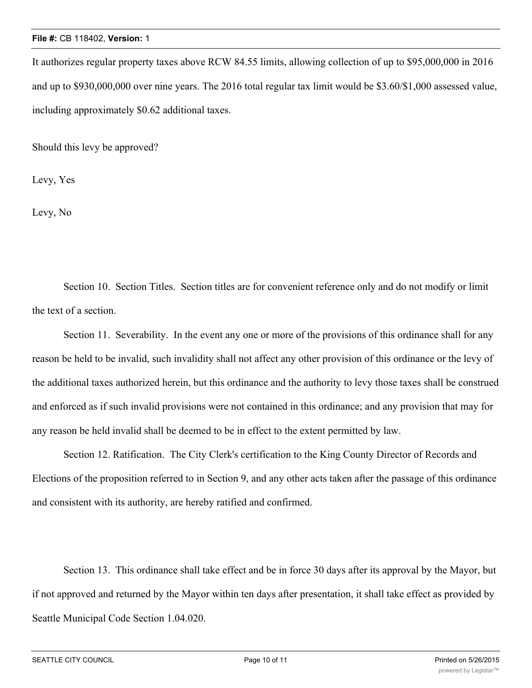#### **File #:** CB 118402, **Version:** 1

It authorizes regular property taxes above RCW 84.55 limits, allowing collection of up to \$95,000,000 in 2016 and up to \$930,000,000 over nine years. The 2016 total regular tax limit would be \$3.60/\$1,000 assessed value, including approximately \$0.62 additional taxes.

Should this levy be approved?

Levy, Yes

Levy, No

Section 10. Section Titles. Section titles are for convenient reference only and do not modify or limit the text of a section.

Section 11. Severability. In the event any one or more of the provisions of this ordinance shall for any reason be held to be invalid, such invalidity shall not affect any other provision of this ordinance or the levy of the additional taxes authorized herein, but this ordinance and the authority to levy those taxes shall be construed and enforced as if such invalid provisions were not contained in this ordinance; and any provision that may for any reason be held invalid shall be deemed to be in effect to the extent permitted by law.

Section 12. Ratification. The City Clerk's certification to the King County Director of Records and Elections of the proposition referred to in Section 9, and any other acts taken after the passage of this ordinance and consistent with its authority, are hereby ratified and confirmed.

Section 13. This ordinance shall take effect and be in force 30 days after its approval by the Mayor, but if not approved and returned by the Mayor within ten days after presentation, it shall take effect as provided by Seattle Municipal Code Section 1.04.020.